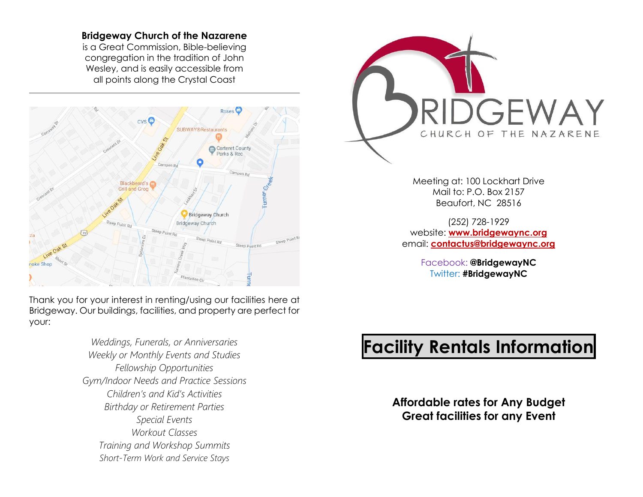#### **Bridgeway Church of the Nazarene**

is a Great Commission, Bible-believing congregation in the tradition of John Wesley, and is easily accessible from all points along the Crystal Coast



Thank you for your interest in renting/using our facilities here at Bridgeway. Our buildings, facilities, and property are perfect for your:

> *Weddings, Funerals, or Anniversaries Weekly or Monthly Events and Studies Fellowship Opportunities Gym/Indoor Needs and Practice Sessions Children's and Kid's Activities Birthday or Retirement Parties Special Events Workout Classes Training and Workshop Summits Short-Term Work and Service Stays*



Meeting at: 100 Lockhart Drive Mail to: P.O. Box 2157 Beaufort, NC 28516

(252) 728-1929 website: **[www.bridgewaync.org](http://www.bridgewaync.org/)** email: **[contactus@bridgewaync.org](mailto:contactus@bridgewaync.org)**

> Facebook: **@BridgewayNC** Twitter: **#BridgewayNC**

# **Facility Rentals Information**

**Affordable rates for Any Budget Great facilities for any Event**